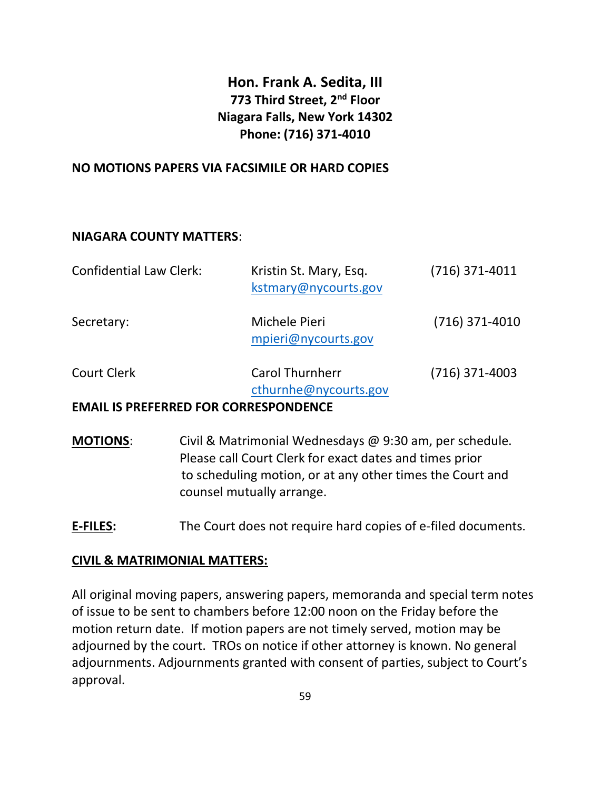# Hon. Frank A. Sedita, III 773 Third Street, 2<sup>nd</sup> Floor Niagara Falls, New York 14302 Phone: (716) 371-4010

### NO MOTIONS PAPERS VIA FACSIMILE OR HARD COPIES

### NIAGARA COUNTY MATTERS:

| <b>Confidential Law Clerk:</b>               | Kristin St. Mary, Esq.<br>kstmary@nycourts.gov  | $(716)$ 371-4011 |
|----------------------------------------------|-------------------------------------------------|------------------|
| Secretary:                                   | Michele Pieri<br>mpieri@nycourts.gov            | $(716)$ 371-4010 |
| <b>Court Clerk</b>                           | <b>Carol Thurnherr</b><br>cthurnhe@nycourts.gov | $(716)$ 371-4003 |
| <b>EMAIL IS PREFERRED FOR CORRESPONDENCE</b> |                                                 |                  |

- MOTIONS: Civil & Matrimonial Wednesdays @ 9:30 am, per schedule. Please call Court Clerk for exact dates and times prior to scheduling motion, or at any other times the Court and counsel mutually arrange.
- E-FILES: The Court does not require hard copies of e-filed documents.

### CIVIL & MATRIMONIAL MATTERS:

All original moving papers, answering papers, memoranda and special term notes of issue to be sent to chambers before 12:00 noon on the Friday before the motion return date. If motion papers are not timely served, motion may be adjourned by the court. TROs on notice if other attorney is known. No general adjournments. Adjournments granted with consent of parties, subject to Court's approval.